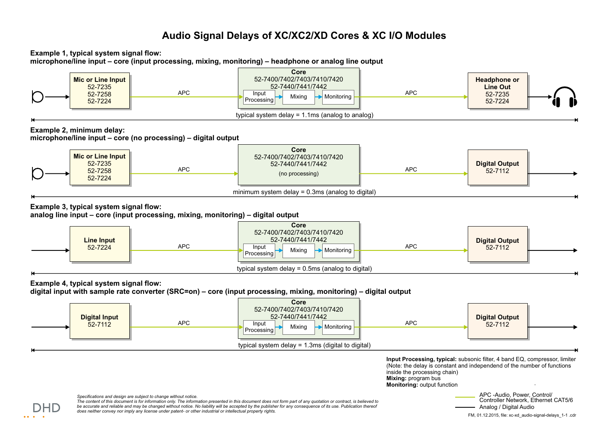## **Audio Signal Delays of XC/XC2/XD Cores & XC I/O Modules**





**Input Processing, typical:** subsonic filter, 4 band EQ, compressor, limiter (Note: the delay is constant and independend of the number of functions inside the processing chain) **Mixing:** program bus

**Monitoring:** output function

*Specifications and design are subject to change without notice. The content of this document is for information only. The information presented in this document does not form part of any quotation or contract, is believed to be accurate and reliable and may be changed without notice. No liability will be accepted by the publisher for any consequence of its use. Publication thereof does neither convey nor imply any license under patent- or other industrial or intellectual property rights.*

APC -Audio, Power, Control/ Controller Network, Ethernet CAT5/6 Analog / Digital Audio